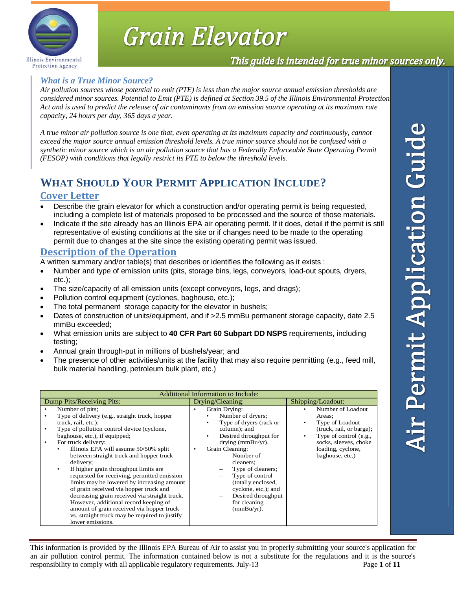

# Grain Elevator

## This guide is intended for true minor sources only.

### *What is a True Minor Source?*

*Air pollution sources whose potential to emit (PTE) is less than the major source annual emission thresholds are considered minor sources. Potential to Emit (PTE) is defined at Section 39.5 of the Illinois Environmental Protection Act and is used to predict the release of air contaminants from an emission source operating at its maximum rate capacity, 24 hours per day, 365 days a year.* 

*A true minor air pollution source is one that, even operating at its maximum capacity and continuously, cannot exceed the major source annual emission threshold levels. A true minor source should not be confused with a synthetic minor source which is an air pollution source that has a Federally Enforceable State Operating Permit (FESOP) with conditions that legally restrict its PTE to below the threshold levels.* 

# **WHAT SHOULD YOUR PERMIT APPLICATION INCLUDE?**

#### **Cover Letter**

- Describe the grain elevator for which a construction and/or operating permit is being requested, including a complete list of materials proposed to be processed and the source of those materials.
- Indicate if the site already has an Illinois EPA air operating permit. If it does, detail if the permit is still representative of existing conditions at the site or if changes need to be made to the operating permit due to changes at the site since the existing operating permit was issued.

#### **Description of the Operation**

A written summary and/or table(s) that describes or identifies the following as it exists :

- Number and type of emission units (pits, storage bins, legs, conveyors, load-out spouts, dryers, etc.);
- The size/capacity of all emission units (except conveyors, legs, and drags);
- Pollution control equipment (cyclones, baghouse, etc.);
- The total permanent storage capacity for the elevator in bushels;
- Dates of construction of units/equipment, and if >2.5 mmBu permanent storage capacity, date 2.5 mmBu exceeded;
- What emission units are subject to **40 CFR Part 60 Subpart DD NSPS** requirements, including testing;
- Annual grain through-put in millions of bushels/year; and
- The presence of other activities/units at the facility that may also require permitting (e.g., feed mill, bulk material handling, petroleum bulk plant, etc.)

| Additional Information to Include:                                                                                                                                                                                                                                                                                                                                                                                                                                                                                                                                                                                                                                                                                         |                                                                                                                                                                                                                                                                                                                       |                                                                                                                                                                       |  |
|----------------------------------------------------------------------------------------------------------------------------------------------------------------------------------------------------------------------------------------------------------------------------------------------------------------------------------------------------------------------------------------------------------------------------------------------------------------------------------------------------------------------------------------------------------------------------------------------------------------------------------------------------------------------------------------------------------------------------|-----------------------------------------------------------------------------------------------------------------------------------------------------------------------------------------------------------------------------------------------------------------------------------------------------------------------|-----------------------------------------------------------------------------------------------------------------------------------------------------------------------|--|
| Dump Pits/Receiving Pits:                                                                                                                                                                                                                                                                                                                                                                                                                                                                                                                                                                                                                                                                                                  | Drying/Cleaning:                                                                                                                                                                                                                                                                                                      | Shipping/Loadout:                                                                                                                                                     |  |
| Number of pits:<br>Type of delivery (e.g., straight truck, hopper<br>truck, rail, etc.);<br>Type of pollution control device (cyclone,<br>$\bullet$<br>baghouse, etc.), if equipped;<br>For truck delivery:<br>$\bullet$<br>Illinois EPA will assume 50/50% split<br>٠<br>between straight truck and hopper truck<br>delivery:<br>If higher grain throughput limits are<br>requested for receiving, permitted emission<br>limits may be lowered by increasing amount<br>of grain received via hopper truck and<br>decreasing grain received via straight truck.<br>However, additional record keeping of<br>amount of grain received via hopper truck<br>vs. straight truck may be required to justify<br>lower emissions. | Grain Drying:<br>Number of dryers;<br>Type of dryers (rack or<br>column); and<br>Desired throughput for<br>drying (mmBu/yr).<br>Grain Cleaning:<br>Number of<br>cleaners;<br>Type of cleaners;<br>Type of control<br>(totally enclosed,<br>cyclone, etc.); and<br>Desired throughput<br>for cleaning<br>$(mmBu/yr)$ . | Number of Loadout<br>Areas:<br>Type of Loadout<br>(truck, rail, or barge);<br>Type of control (e.g.,<br>socks, sleeves, choke<br>loading, cyclone,<br>baghouse, etc.) |  |

This information is provided by the Illinois EPA Bureau of Air to assist you in properly submitting your source's application for an air pollution control permit. The information contained below is not a substitute for the regulations and it is the source's responsibility to comply with all applicable regulatory requirements. July-13 Page **1** of **11**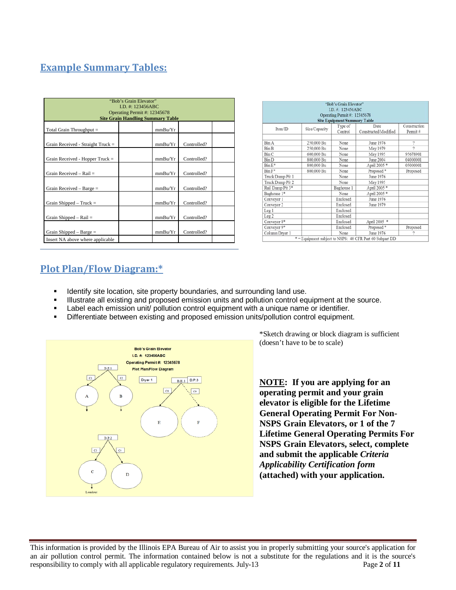## **Example Summary Tables:**

| "Bob's Grain Elevator"<br>LD. #: 123456ABC<br>Operating Permit #: 12345678<br><b>Site Grain Handling Summary Table</b> |  |         |             |  |
|------------------------------------------------------------------------------------------------------------------------|--|---------|-------------|--|
| Total Grain Throughput =                                                                                               |  | mmBu/Yr |             |  |
| Grain Received - Straight $True k =$                                                                                   |  | mmBu/Yr | Controlled? |  |
| Grain Received - Hopper Truck $=$                                                                                      |  | mmBu/Yr | Controlled? |  |
| Grain Received - Rail =                                                                                                |  | mmBu/Yr | Controlled? |  |
| Grain Received - Barge $=$                                                                                             |  | mmBu/Yr | Controlled? |  |
| Grain Shipped $-$ Truck $=$                                                                                            |  | mmBu/Yr | Controlled? |  |
| Grain Shipped $-$ Rail $=$                                                                                             |  | mmBu/Yr | Controlled? |  |
| Grain Shipped – Barge $=$                                                                                              |  | mmBu/Yr | Controlled? |  |
| Insert NA above where applicable                                                                                       |  |         |             |  |

|                  |               | I.D. #: 123456ABC<br>Operating Permit #: 12345678 |                       |                |
|------------------|---------------|---------------------------------------------------|-----------------------|----------------|
|                  |               | <b>Site Equipment Summary Table</b>               |                       |                |
| Item/ID          |               | Type of                                           | Date                  | Construction   |
|                  | Size/Capacity | Control                                           | Constructed/Modified  | Permit#        |
|                  |               |                                                   |                       |                |
| Bin A            | 250,000 Bu    | None                                              | June 1976             | 2              |
| Bin B            | 250,000 Bu    | None                                              | May 1979              | $\overline{2}$ |
| Bin C            | 600,000 Bu    | None                                              | May 1995              | 95678901       |
| Bin D            | 800,000 Bu    | None                                              | June 2004             | 04000001       |
| $Bin E^*$        | 800,000 Bu    | None                                              | April 2005 *          | 05000001       |
| Bin F*           | 800,000 Bu    | None                                              | Proposed <sup>*</sup> | Proposed       |
| Truck Dump Pit 1 |               | None                                              | June 1976             |                |
| Truck Dump Pit 2 |               | None                                              | May 1995              |                |
| Rail Dump Pit 3* |               | Baghouse 1                                        | April 2005 *          |                |
| Baghouse 1*      |               | None                                              | April 2005 *          |                |
| Conveyor 1       |               | Enclosed                                          | June 1976             |                |
| Conveyor 2       |               | Enclosed                                          | June 1979             |                |
| Leg <sub>1</sub> |               | Enclosed                                          |                       |                |
| Leg <sub>2</sub> |               | Enclosed                                          |                       |                |
| Conveyor 8*      |               | Enclosed                                          | April 2005 *          |                |
| Conveyor 9*      |               | Enclosed                                          | Proposed <sup>®</sup> | Proposed       |
| Column Drver 1   |               | None                                              | June 1976             | 2              |

## **Plot Plan/Flow Diagram:\***

- Identify site location, site property boundaries, and surrounding land use.
- Illustrate all existing and proposed emission units and pollution control equipment at the source.
- Label each emission unit/ pollution control equipment with a unique name or identifier.
- Differentiate between existing and proposed emission units/pollution control equipment.



\*Sketch drawing or block diagram is sufficient (doesn't have to be to scale)

**NOTE: If you are applying for an operating permit and your grain elevator is eligible for the Lifetime General Operating Permit For Non-NSPS Grain Elevators, or 1 of the 7 Lifetime General Operating Permits For NSPS Grain Elevators, select, complete and submit the applicable** *Criteria Applicability Certification form* **(attached) with your application.**

This information is provided by the Illinois EPA Bureau of Air to assist you in properly submitting your source's application for an air pollution control permit. The information contained below is not a substitute for the regulations and it is the source's responsibility to comply with all applicable regulatory requirements. July-13 Page **2** of **11**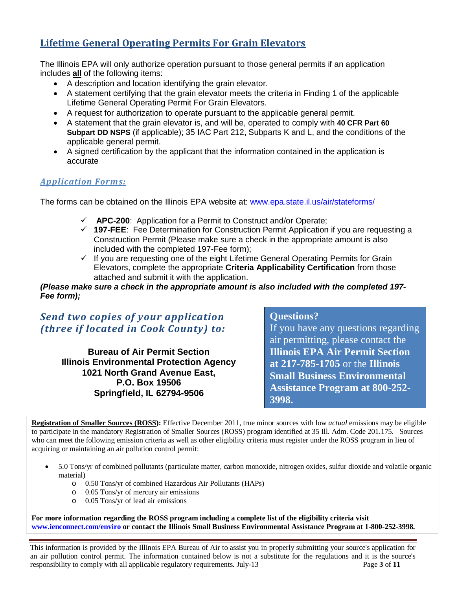## **Lifetime General Operating Permits For Grain Elevators**

The Illinois EPA will only authorize operation pursuant to those general permits if an application includes **all** of the following items:

- A description and location identifying the grain elevator.
- A statement certifying that the grain elevator meets the criteria in Finding 1 of the applicable Lifetime General Operating Permit For Grain Elevators.
- A request for authorization to operate pursuant to the applicable general permit.
- A statement that the grain elevator is, and will be, operated to comply with **40 CFR Part 60 Subpart DD NSPS** (if applicable); 35 IAC Part 212, Subparts K and L, and the conditions of the applicable general permit.
- A signed certification by the applicant that the information contained in the application is accurate

#### *Application Forms:*

The forms can be obtained on the Illinois EPA website at: [www.epa.state.il.us/air/stateforms/](http://www.epa.state.il.us/air/stateforms/)

- **APC-200**: Application for a Permit to Construct and/or Operate;
- **197-FEE**: Fee Determination for Construction Permit Application if you are requesting a Construction Permit (Please make sure a check in the appropriate amount is also included with the completed 197-Fee form);
- $\checkmark$  If you are requesting one of the eight Lifetime General Operating Permits for Grain Elevators, complete the appropriate **Criteria Applicability Certification** from those attached and submit it with the application.

#### *(Please make sure a check in the appropriate amount is also included with the completed 197- Fee form);*

## *Send two copies of your application (three if located in Cook County) to:*

**Bureau of Air Permit Section Illinois Environmental Protection Agency 1021 North Grand Avenue East, P.O. Box 19506 Springfield, IL 62794-9506**

#### **Questions?**

If you have any questions regarding air permitting, please contact the **Illinois EPA Air Permit Section at 217-785-1705** or the **Illinois Small Business Environmental Assistance Program at 800-252- 3998.** 

**Registration of Smaller Sources (ROSS):** Effective December 2011, true minor sources with low *actual* emissions may be eligible to participate in the mandatory Registration of Smaller Sources (ROSS) program identified at 35 Ill. Adm. Code 201.175. Sources who can meet the following emission criteria as well as other eligibility criteria must register under the ROSS program in lieu of acquiring or maintaining an air pollution control permit:

- 5.0 Tons/yr of combined pollutants (particulate matter, carbon monoxide, nitrogen oxides, sulfur dioxide and volatile organic material)
	- o 0.50 Tons/yr of combined Hazardous Air Pollutants (HAPs)
	- o 0.05 Tons/yr of mercury air emissions
	- o 0.05 Tons/yr of lead air emissions

**For more information regarding the ROSS program including a complete list of the eligibility criteria visit [www.ienconnect.com/enviro](http://www.ienconnect.com/enviro) or contact the Illinois Small Business Environmental Assistance Program at 1-800-252-3998.**

This information is provided by the Illinois EPA Bureau of Air to assist you in properly submitting your source's application for an air pollution control permit. The information contained below is not a substitute for the regulations and it is the source's responsibility to comply with all applicable regulatory requirements. July-13 Page **3** of **11**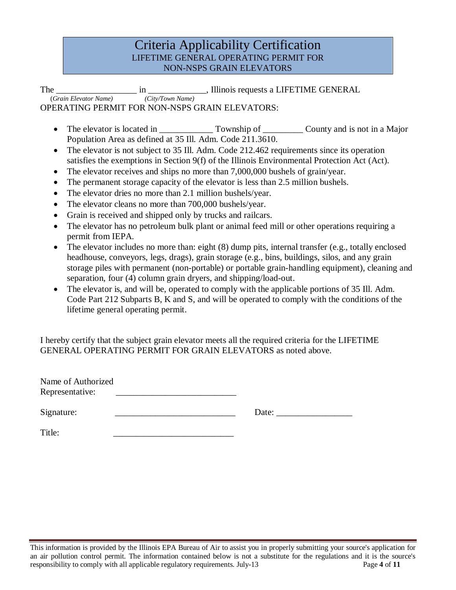## Criteria Applicability Certification LIFETIME GENERAL OPERATING PERMIT FOR NON-NSPS GRAIN ELEVATORS

The *\_\_\_\_\_\_\_\_\_\_\_\_\_\_\_\_\_\_\_\_\_\_\_\_\_\_\_\_\_\_\_* in *\_\_\_\_\_\_\_\_\_\_\_\_\_\_\_*, Illinois requests a LIFETIME GENERAL (*Grain Elevator Name*) OPERATING PERMIT FOR NON-NSPS GRAIN ELEVATORS:

- The elevator is located in \_\_\_\_\_\_\_\_\_\_\_\_\_\_\_\_ Township of \_\_\_\_\_\_\_\_\_\_\_ County and is not in a Major Population Area as defined at 35 Ill. Adm. Code 211.3610.
- The elevator is not subject to 35 Ill. Adm. Code 212.462 requirements since its operation satisfies the exemptions in Section 9(f) of the Illinois Environmental Protection Act (Act).
- The elevator receives and ships no more than 7,000,000 bushels of grain/year.
- The permanent storage capacity of the elevator is less than 2.5 million bushels.
- The elevator dries no more than 2.1 million bushels/year.
- The elevator cleans no more than 700,000 bushels/year.
- Grain is received and shipped only by trucks and railcars.
- The elevator has no petroleum bulk plant or animal feed mill or other operations requiring a permit from IEPA.
- The elevator includes no more than: eight (8) dump pits, internal transfer (e.g., totally enclosed headhouse, conveyors, legs, drags), grain storage (e.g., bins, buildings, silos, and any grain storage piles with permanent (non-portable) or portable grain-handling equipment), cleaning and separation, four (4) column grain dryers, and shipping/load-out.
- The elevator is, and will be, operated to comply with the applicable portions of 35 Ill. Adm. Code Part 212 Subparts B, K and S, and will be operated to comply with the conditions of the lifetime general operating permit.

I hereby certify that the subject grain elevator meets all the required criteria for the LIFETIME GENERAL OPERATING PERMIT FOR GRAIN ELEVATORS as noted above.

| Name of Authorized |  |
|--------------------|--|
| Representative:    |  |

Signature: \_\_\_\_\_\_\_\_\_\_\_\_\_\_\_\_\_\_\_\_\_\_\_\_\_\_\_ Date: \_\_\_\_\_\_\_\_\_\_\_\_\_\_\_\_\_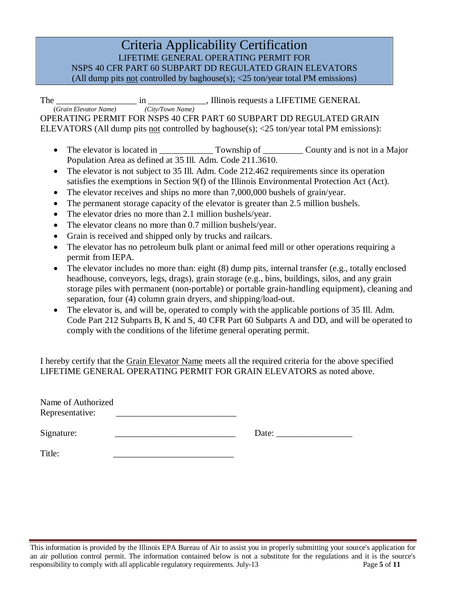LIFETIME GENERAL OPERATING PERMIT FOR NSPS 40 CFR PART 60 SUBPART DD REGULATED GRAIN ELEVATORS (All dump pits not controlled by baghouse(s); <25 ton/year total PM emissions)

The  $\frac{1}{(Grain\ Else{Elevator\ Name})}$  in  $\frac{1}{(City/Down\ Name)}$ , Illinois requests a LIFETIME GENERAL OPERATING PERMIT FOR NSPS 40 CFR PART 60 SUBPART DD REGULATED GRAIN ELEVATORS (All dump pits not controlled by baghouse(s); <25 ton/year total PM emissions):

- The elevator is located in Township of County and is not in a Major Population Area as defined at 35 Ill. Adm. Code 211.3610.
- The elevator is not subject to 35 Ill. Adm. Code 212.462 requirements since its operation satisfies the exemptions in Section 9(f) of the Illinois Environmental Protection Act (Act).
- The elevator receives and ships no more than 7,000,000 bushels of grain/year.
- The permanent storage capacity of the elevator is greater than 2.5 million bushels.
- The elevator dries no more than 2.1 million bushels/year.
- The elevator cleans no more than 0.7 million bushels/year.
- Grain is received and shipped only by trucks and railcars.
- The elevator has no petroleum bulk plant or animal feed mill or other operations requiring a permit from IEPA.
- The elevator includes no more than: eight  $(8)$  dump pits, internal transfer  $(e.g.,$  totally enclosed headhouse, conveyors, legs, drags), grain storage (e.g., bins, buildings, silos, and any grain storage piles with permanent (non-portable) or portable grain-handling equipment), cleaning and separation, four (4) column grain dryers, and shipping/load-out.
- The elevator is, and will be, operated to comply with the applicable portions of 35 Ill. Adm. Code Part 212 Subparts B, K and S, 40 CFR Part 60 Subparts A and DD, and will be operated to comply with the conditions of the lifetime general operating permit.

I hereby certify that the Grain Elevator Name meets all the required criteria for the above specified LIFETIME GENERAL OPERATING PERMIT FOR GRAIN ELEVATORS as noted above.

| Name of Authorized |  |
|--------------------|--|
| Representative:    |  |

Signature: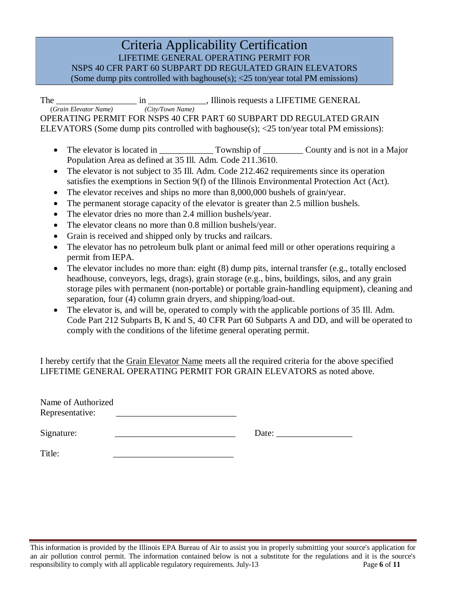LIFETIME GENERAL OPERATING PERMIT FOR NSPS 40 CFR PART 60 SUBPART DD REGULATED GRAIN ELEVATORS (Some dump pits controlled with baghouse(s); <25 ton/year total PM emissions)

The *\_\_\_\_\_\_\_\_\_\_\_\_\_\_\_\_\_\_* in *\_\_\_\_\_\_\_\_\_\_\_\_\_*, Illinois requests a LIFETIME GENERAL (*Grain Elevator Name) (City/Town Name)* OPERATING PERMIT FOR NSPS 40 CFR PART 60 SUBPART DD REGULATED GRAIN ELEVATORS (Some dump pits controlled with baghouse(s);  $\langle 25 \text{ ton/year total PM emissions} \rangle$ :

- The elevator is located in Township of County and is not in a Major Population Area as defined at 35 Ill. Adm. Code 211.3610.
- The elevator is not subject to 35 Ill. Adm. Code 212.462 requirements since its operation satisfies the exemptions in Section 9(f) of the Illinois Environmental Protection Act (Act).
- The elevator receives and ships no more than 8,000,000 bushels of grain/year.
- The permanent storage capacity of the elevator is greater than 2.5 million bushels.
- The elevator dries no more than 2.4 million bushels/year.
- The elevator cleans no more than 0.8 million bushels/year.
- Grain is received and shipped only by trucks and railcars.
- The elevator has no petroleum bulk plant or animal feed mill or other operations requiring a permit from IEPA.
- The elevator includes no more than: eight  $(8)$  dump pits, internal transfer  $(e.g.,$  totally enclosed headhouse, conveyors, legs, drags), grain storage (e.g., bins, buildings, silos, and any grain storage piles with permanent (non-portable) or portable grain-handling equipment), cleaning and separation, four (4) column grain dryers, and shipping/load-out.
- The elevator is, and will be, operated to comply with the applicable portions of 35 Ill. Adm. Code Part 212 Subparts B, K and S, 40 CFR Part 60 Subparts A and DD, and will be operated to comply with the conditions of the lifetime general operating permit.

I hereby certify that the Grain Elevator Name meets all the required criteria for the above specified LIFETIME GENERAL OPERATING PERMIT FOR GRAIN ELEVATORS as noted above.

| Name of Authorized |  |
|--------------------|--|
| Representative:    |  |

Signature: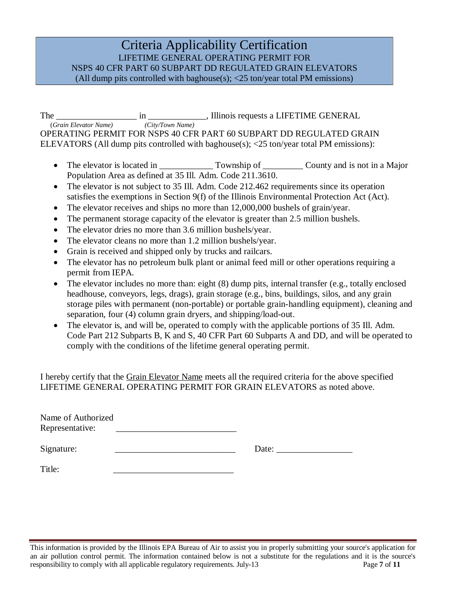LIFETIME GENERAL OPERATING PERMIT FOR NSPS 40 CFR PART 60 SUBPART DD REGULATED GRAIN ELEVATORS (All dump pits controlled with baghouse(s); <25 ton/year total PM emissions)

The *\_\_\_\_\_\_\_\_\_\_\_\_\_\_\_\_\_\_* in *\_\_\_\_\_\_\_\_\_\_\_\_\_*, Illinois requests a LIFETIME GENERAL (*Grain Elevator Name) (City/Town Name)* OPERATING PERMIT FOR NSPS 40 CFR PART 60 SUBPART DD REGULATED GRAIN ELEVATORS (All dump pits controlled with baghouse(s); <25 ton/year total PM emissions):

- The elevator is located in Township of County and is not in a Major Population Area as defined at 35 Ill. Adm. Code 211.3610.
- The elevator is not subject to 35 Ill. Adm. Code 212.462 requirements since its operation satisfies the exemptions in Section 9(f) of the Illinois Environmental Protection Act (Act).
- The elevator receives and ships no more than 12,000,000 bushels of grain/year.
- The permanent storage capacity of the elevator is greater than 2.5 million bushels.
- The elevator dries no more than 3.6 million bushels/year.
- The elevator cleans no more than 1.2 million bushels/year.
- Grain is received and shipped only by trucks and railcars.
- The elevator has no petroleum bulk plant or animal feed mill or other operations requiring a permit from IEPA.
- The elevator includes no more than: eight (8) dump pits, internal transfer (e.g., totally enclosed headhouse, conveyors, legs, drags), grain storage (e.g., bins, buildings, silos, and any grain storage piles with permanent (non-portable) or portable grain-handling equipment), cleaning and separation, four (4) column grain dryers, and shipping/load-out.
- The elevator is, and will be, operated to comply with the applicable portions of 35 Ill. Adm. Code Part 212 Subparts B, K and S, 40 CFR Part 60 Subparts A and DD, and will be operated to comply with the conditions of the lifetime general operating permit.

I hereby certify that the Grain Elevator Name meets all the required criteria for the above specified LIFETIME GENERAL OPERATING PERMIT FOR GRAIN ELEVATORS as noted above.

| Name of Authorized<br>Representative: |       |  |
|---------------------------------------|-------|--|
| Signature:                            | Date: |  |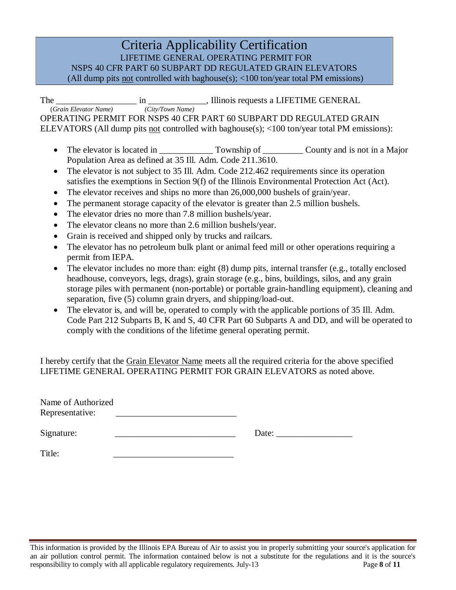LIFETIME GENERAL OPERATING PERMIT FOR

NSPS 40 CFR PART 60 SUBPART DD REGULATED GRAIN ELEVATORS

(All dump pits not controlled with baghouse(s); <100 ton/year total PM emissions)

The *\_\_\_\_\_\_\_\_\_\_\_\_\_\_\_\_\_\_\_\_\_\_\_\_\_\_\_\_\_\_\_\_* in *\_\_\_\_\_\_\_\_\_\_\_\_\_\_\_\_\_\_\_*, Illinois requests a LIFETIME GENERAL (*Grain Elevator Name*) OPERATING PERMIT FOR NSPS 40 CFR PART 60 SUBPART DD REGULATED GRAIN ELEVATORS (All dump pits not controlled with baghouse(s); <100 ton/year total PM emissions):

- The elevator is located in Township of County and is not in a Major Population Area as defined at 35 Ill. Adm. Code 211.3610.
- The elevator is not subject to 35 Ill. Adm. Code 212.462 requirements since its operation satisfies the exemptions in Section 9(f) of the Illinois Environmental Protection Act (Act).
- The elevator receives and ships no more than 26,000,000 bushels of grain/year.
- The permanent storage capacity of the elevator is greater than 2.5 million bushels.
- The elevator dries no more than 7.8 million bushels/year.
- The elevator cleans no more than 2.6 million bushels/year.
- Grain is received and shipped only by trucks and railcars.
- The elevator has no petroleum bulk plant or animal feed mill or other operations requiring a permit from IEPA.
- The elevator includes no more than: eight  $(8)$  dump pits, internal transfer  $(e.g.,$  totally enclosed headhouse, conveyors, legs, drags), grain storage (e.g., bins, buildings, silos, and any grain storage piles with permanent (non-portable) or portable grain-handling equipment), cleaning and separation, five (5) column grain dryers, and shipping/load-out.
- The elevator is, and will be, operated to comply with the applicable portions of 35 Ill. Adm. Code Part 212 Subparts B, K and S, 40 CFR Part 60 Subparts A and DD, and will be operated to comply with the conditions of the lifetime general operating permit.

I hereby certify that the Grain Elevator Name meets all the required criteria for the above specified LIFETIME GENERAL OPERATING PERMIT FOR GRAIN ELEVATORS as noted above.

| Name of Authorized |  |
|--------------------|--|
| Representative:    |  |

Signature: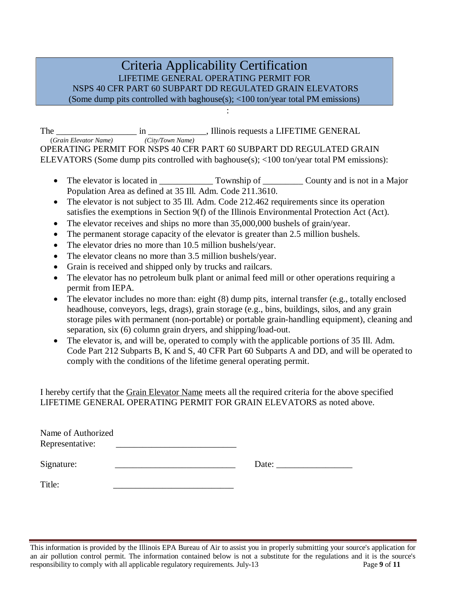## Criteria Applicability Certification LIFETIME GENERAL OPERATING PERMIT FOR NSPS 40 CFR PART 60 SUBPART DD REGULATED GRAIN ELEVATORS (Some dump pits controlled with baghouse(s); <100 ton/year total PM emissions)

:

The *\_\_\_\_\_\_\_\_\_\_\_\_\_\_\_\_\_\_\_\_\_\_\_\_\_\_\_\_\_\_\_\_\_* in *\_\_\_\_\_\_\_\_\_\_\_\_\_\_\_\_\_*, Illinois requests a LIFETIME GENERAL (*Grain Elevator Name*) OPERATING PERMIT FOR NSPS 40 CFR PART 60 SUBPART DD REGULATED GRAIN ELEVATORS (Some dump pits controlled with baghouse(s); <100 ton/year total PM emissions):

- The elevator is located in Township of County and is not in a Major Population Area as defined at 35 Ill. Adm. Code 211.3610.
- The elevator is not subject to 35 Ill. Adm. Code 212.462 requirements since its operation satisfies the exemptions in Section 9(f) of the Illinois Environmental Protection Act (Act).
- The elevator receives and ships no more than 35,000,000 bushels of grain/year.
- The permanent storage capacity of the elevator is greater than 2.5 million bushels.
- The elevator dries no more than 10.5 million bushels/year.
- The elevator cleans no more than 3.5 million bushels/year.
- Grain is received and shipped only by trucks and railcars.
- The elevator has no petroleum bulk plant or animal feed mill or other operations requiring a permit from IEPA.
- The elevator includes no more than: eight (8) dump pits, internal transfer (e.g., totally enclosed headhouse, conveyors, legs, drags), grain storage (e.g., bins, buildings, silos, and any grain storage piles with permanent (non-portable) or portable grain-handling equipment), cleaning and separation, six (6) column grain dryers, and shipping/load-out.
- The elevator is, and will be, operated to comply with the applicable portions of 35 Ill. Adm. Code Part 212 Subparts B, K and S, 40 CFR Part 60 Subparts A and DD, and will be operated to comply with the conditions of the lifetime general operating permit.

I hereby certify that the Grain Elevator Name meets all the required criteria for the above specified LIFETIME GENERAL OPERATING PERMIT FOR GRAIN ELEVATORS as noted above.

| Name of Authorized<br>Representative: |       |
|---------------------------------------|-------|
| Signature:                            | Date: |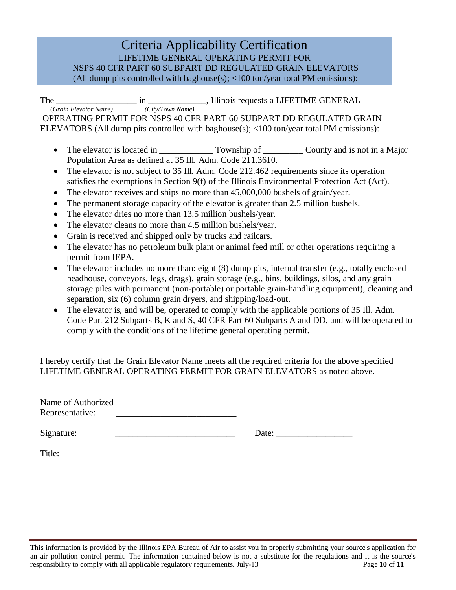LIFETIME GENERAL OPERATING PERMIT FOR

NSPS 40 CFR PART 60 SUBPART DD REGULATED GRAIN ELEVATORS

(All dump pits controlled with baghouse(s); <100 ton/year total PM emissions):

The *\_\_\_\_\_\_\_\_\_\_\_\_\_\_\_\_\_\_\_\_\_\_\_\_\_\_\_\_\_\_\_\_* in *\_\_\_\_\_\_\_\_\_\_\_\_\_\_\_\_\_\_\_*, Illinois requests a LIFETIME GENERAL (*Grain Elevator Name*) OPERATING PERMIT FOR NSPS 40 CFR PART 60 SUBPART DD REGULATED GRAIN ELEVATORS (All dump pits controlled with baghouse(s); <100 ton/year total PM emissions):

- The elevator is located in Township of County and is not in a Major Population Area as defined at 35 Ill. Adm. Code 211.3610.
- The elevator is not subject to 35 Ill. Adm. Code 212.462 requirements since its operation satisfies the exemptions in Section 9(f) of the Illinois Environmental Protection Act (Act).
- The elevator receives and ships no more than 45,000,000 bushels of grain/year.
- The permanent storage capacity of the elevator is greater than 2.5 million bushels.
- The elevator dries no more than 13.5 million bushels/year.
- The elevator cleans no more than 4.5 million bushels/year.
- Grain is received and shipped only by trucks and railcars.
- The elevator has no petroleum bulk plant or animal feed mill or other operations requiring a permit from IEPA.
- The elevator includes no more than: eight  $(8)$  dump pits, internal transfer  $(e.g.,$  totally enclosed headhouse, conveyors, legs, drags), grain storage (e.g., bins, buildings, silos, and any grain storage piles with permanent (non-portable) or portable grain-handling equipment), cleaning and separation, six (6) column grain dryers, and shipping/load-out.
- The elevator is, and will be, operated to comply with the applicable portions of 35 Ill. Adm. Code Part 212 Subparts B, K and S, 40 CFR Part 60 Subparts A and DD, and will be operated to comply with the conditions of the lifetime general operating permit.

I hereby certify that the Grain Elevator Name meets all the required criteria for the above specified LIFETIME GENERAL OPERATING PERMIT FOR GRAIN ELEVATORS as noted above.

| Name of Authorized |  |
|--------------------|--|
| Representative:    |  |

Signature: